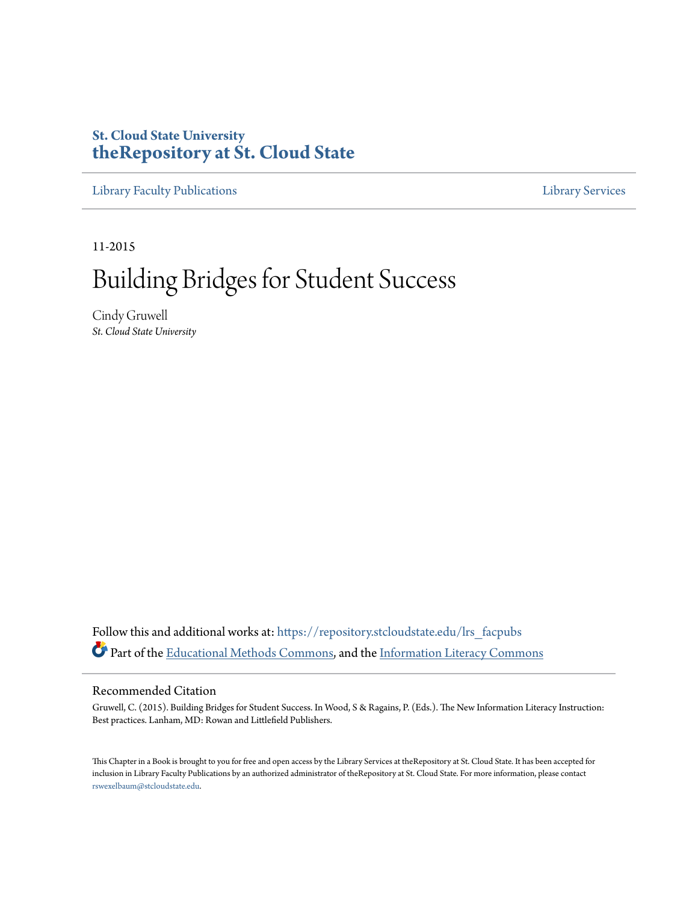# **St. Cloud State University [theRepository at St. Cloud State](https://repository.stcloudstate.edu?utm_source=repository.stcloudstate.edu%2Flrs_facpubs%2F60&utm_medium=PDF&utm_campaign=PDFCoverPages)**

[Library Faculty Publications](https://repository.stcloudstate.edu/lrs_facpubs?utm_source=repository.stcloudstate.edu%2Flrs_facpubs%2F60&utm_medium=PDF&utm_campaign=PDFCoverPages) [Library Services](https://repository.stcloudstate.edu/ls?utm_source=repository.stcloudstate.edu%2Flrs_facpubs%2F60&utm_medium=PDF&utm_campaign=PDFCoverPages)

11-2015

# Building Bridges for Student Success

Cindy Gruwell *St. Cloud State University*

Follow this and additional works at: [https://repository.stcloudstate.edu/lrs\\_facpubs](https://repository.stcloudstate.edu/lrs_facpubs?utm_source=repository.stcloudstate.edu%2Flrs_facpubs%2F60&utm_medium=PDF&utm_campaign=PDFCoverPages) Part of the [Educational Methods Commons,](http://network.bepress.com/hgg/discipline/1227?utm_source=repository.stcloudstate.edu%2Flrs_facpubs%2F60&utm_medium=PDF&utm_campaign=PDFCoverPages) and the [Information Literacy Commons](http://network.bepress.com/hgg/discipline/1243?utm_source=repository.stcloudstate.edu%2Flrs_facpubs%2F60&utm_medium=PDF&utm_campaign=PDFCoverPages)

## Recommended Citation

Gruwell, C. (2015). Building Bridges for Student Success. In Wood, S & Ragains, P. (Eds.). The New Information Literacy Instruction: Best practices. Lanham, MD: Rowan and Littlefield Publishers.

This Chapter in a Book is brought to you for free and open access by the Library Services at theRepository at St. Cloud State. It has been accepted for inclusion in Library Faculty Publications by an authorized administrator of theRepository at St. Cloud State. For more information, please contact [rswexelbaum@stcloudstate.edu](mailto:rswexelbaum@stcloudstate.edu).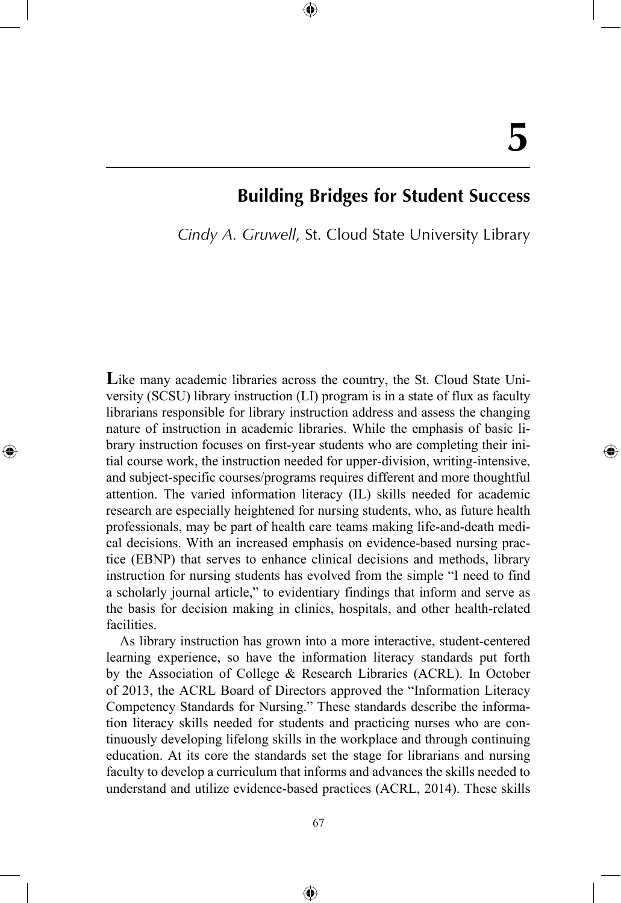# **Building Bridges for Student Success**

*Cindy A. Gruwell*, St. Cloud State University Library

⊕

Like many academic libraries across the country, the St. Cloud State University (SCSU) library instruction (LI) program is in a state of flux as faculty librarians responsible for library instruction address and assess the changing nature of instruction in academic libraries. While the emphasis of basic library instruction focuses on first-year students who are completing their initial course work, the instruction needed for upper-division, writing-intensive, and subject-specific courses/programs requires different and more thoughtful attention. The varied information literacy (IL) skills needed for academic research are especially heightened for nursing students, who, as future health professionals, may be part of health care teams making life-and-death medical decisions. With an increased emphasis on evidence-based nursing practice (EBNP) that serves to enhance clinical decisions and methods, library instruction for nursing students has evolved from the simple "I need to find a scholarly journal article," to evidentiary findings that inform and serve as the basis for decision making in clinics, hospitals, and other health-related facilities.

⊕

As library instruction has grown into a more interactive, student-centered learning experience, so have the information literacy standards put forth by the Association of College & Research Libraries (ACRL). In October of 2013, the ACRL Board of Directors approved the "Information Literacy Competency Standards for Nursing." These standards describe the information literacy skills needed for students and practicing nurses who are continuously developing lifelong skills in the workplace and through continuing education. At its core the standards set the stage for librarians and nursing faculty to develop a curriculum that informs and advances the skills needed to understand and utilize evidence-based practices (ACRL, 2014). These skills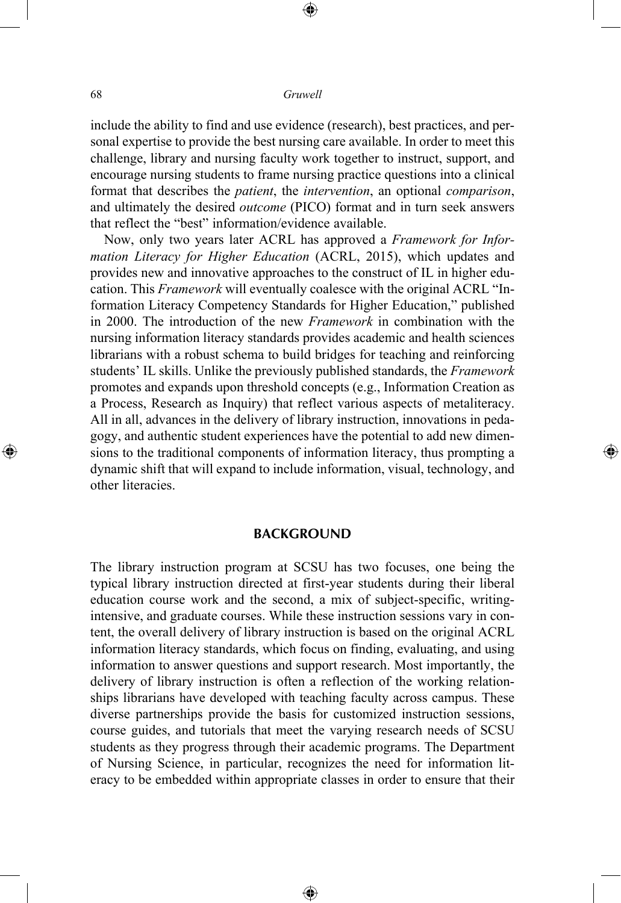⊕

include the ability to find and use evidence (research), best practices, and personal expertise to provide the best nursing care available. In order to meet this challenge, library and nursing faculty work together to instruct, support, and encourage nursing students to frame nursing practice questions into a clinical format that describes the *patient*, the *intervention*, an optional *comparison*, and ultimately the desired *outcome* (PICO) format and in turn seek answers that reflect the "best" information/evidence available.

Now, only two years later ACRL has approved a *Framework for Information Literacy for Higher Education* (ACRL, 2015), which updates and provides new and innovative approaches to the construct of IL in higher education. This *Framework* will eventually coalesce with the original ACRL "Information Literacy Competency Standards for Higher Education," published in 2000. The introduction of the new *Framework* in combination with the nursing information literacy standards provides academic and health sciences librarians with a robust schema to build bridges for teaching and reinforcing students' IL skills. Unlike the previously published standards, the *Framework* promotes and expands upon threshold concepts (e.g., Information Creation as a Process, Research as Inquiry) that reflect various aspects of metaliteracy. All in all, advances in the delivery of library instruction, innovations in pedagogy, and authentic student experiences have the potential to add new dimensions to the traditional components of information literacy, thus prompting a dynamic shift that will expand to include information, visual, technology, and other literacies.

⊕

#### **BACKGROUND**

The library instruction program at SCSU has two focuses, one being the typical library instruction directed at first-year students during their liberal education course work and the second, a mix of subject-specific, writingintensive, and graduate courses. While these instruction sessions vary in content, the overall delivery of library instruction is based on the original ACRL information literacy standards, which focus on finding, evaluating, and using information to answer questions and support research. Most importantly, the delivery of library instruction is often a reflection of the working relationships librarians have developed with teaching faculty across campus. These diverse partnerships provide the basis for customized instruction sessions, course guides, and tutorials that meet the varying research needs of SCSU students as they progress through their academic programs. The Department of Nursing Science, in particular, recognizes the need for information literacy to be embedded within appropriate classes in order to ensure that their

⊕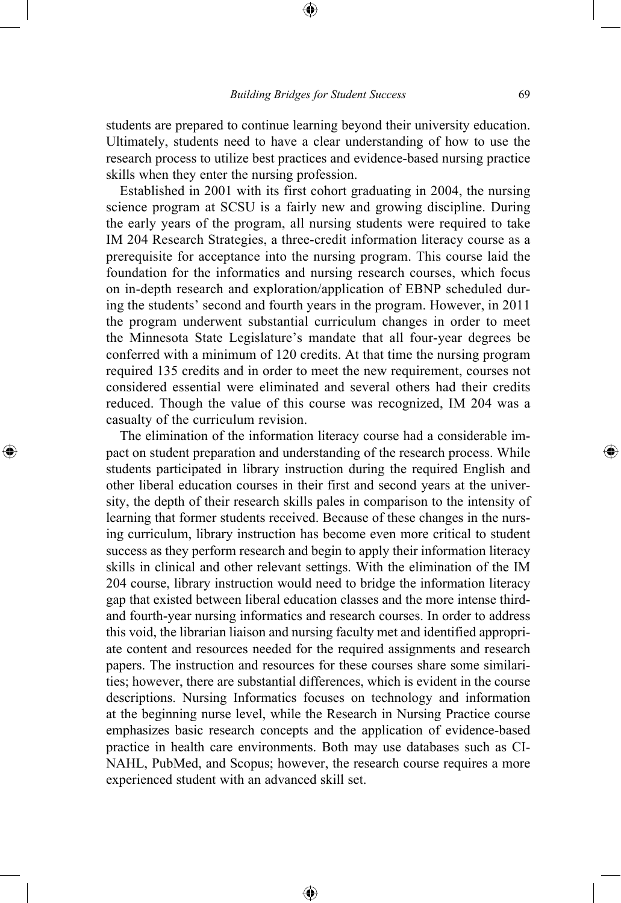students are prepared to continue learning beyond their university education. Ultimately, students need to have a clear understanding of how to use the research process to utilize best practices and evidence-based nursing practice skills when they enter the nursing profession.

Established in 2001 with its first cohort graduating in 2004, the nursing science program at SCSU is a fairly new and growing discipline. During the early years of the program, all nursing students were required to take IM 204 Research Strategies, a three-credit information literacy course as a prerequisite for acceptance into the nursing program. This course laid the foundation for the informatics and nursing research courses, which focus on in-depth research and exploration/application of EBNP scheduled during the students' second and fourth years in the program. However, in 2011 the program underwent substantial curriculum changes in order to meet the Minnesota State Legislature's mandate that all four-year degrees be conferred with a minimum of 120 credits. At that time the nursing program required 135 credits and in order to meet the new requirement, courses not considered essential were eliminated and several others had their credits reduced. Though the value of this course was recognized, IM 204 was a casualty of the curriculum revision.

 $\bigoplus$ 

The elimination of the information literacy course had a considerable impact on student preparation and understanding of the research process. While students participated in library instruction during the required English and other liberal education courses in their first and second years at the university, the depth of their research skills pales in comparison to the intensity of learning that former students received. Because of these changes in the nursing curriculum, library instruction has become even more critical to student success as they perform research and begin to apply their information literacy skills in clinical and other relevant settings. With the elimination of the IM 204 course, library instruction would need to bridge the information literacy gap that existed between liberal education classes and the more intense thirdand fourth-year nursing informatics and research courses. In order to address this void, the librarian liaison and nursing faculty met and identified appropriate content and resources needed for the required assignments and research papers. The instruction and resources for these courses share some similarities; however, there are substantial differences, which is evident in the course descriptions. Nursing Informatics focuses on technology and information at the beginning nurse level, while the Research in Nursing Practice course emphasizes basic research concepts and the application of evidence-based practice in health care environments. Both may use databases such as CI-NAHL, PubMed, and Scopus; however, the research course requires a more experienced student with an advanced skill set.

⊕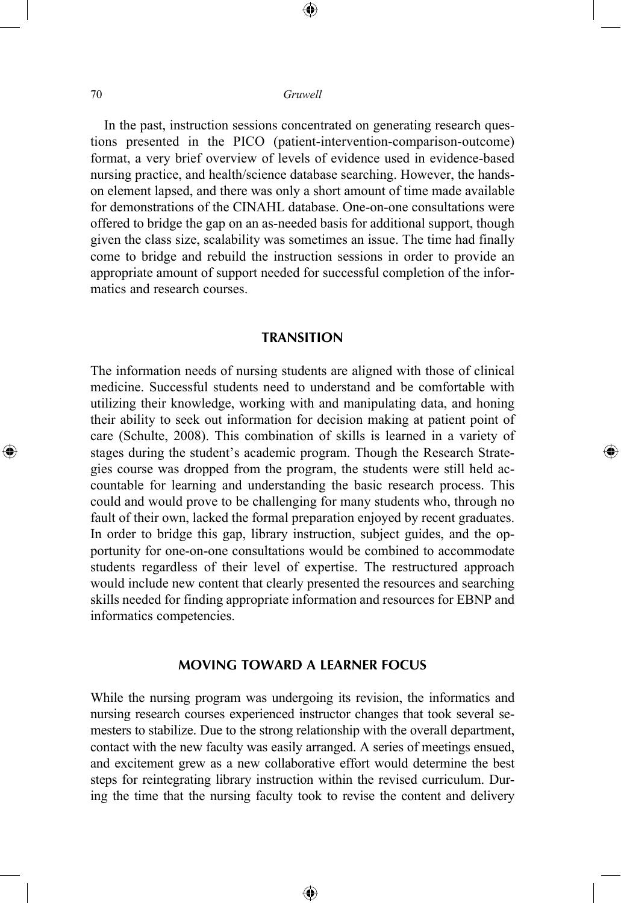⊕

In the past, instruction sessions concentrated on generating research questions presented in the PICO (patient-intervention-comparison-outcome) format, a very brief overview of levels of evidence used in evidence-based nursing practice, and health/science database searching. However, the handson element lapsed, and there was only a short amount of time made available for demonstrations of the CINAHL database. One-on-one consultations were offered to bridge the gap on an as-needed basis for additional support, though given the class size, scalability was sometimes an issue. The time had finally come to bridge and rebuild the instruction sessions in order to provide an appropriate amount of support needed for successful completion of the informatics and research courses.

#### **TRANSITION**

The information needs of nursing students are aligned with those of clinical medicine. Successful students need to understand and be comfortable with utilizing their knowledge, working with and manipulating data, and honing their ability to seek out information for decision making at patient point of care (Schulte, 2008). This combination of skills is learned in a variety of stages during the student's academic program. Though the Research Strategies course was dropped from the program, the students were still held accountable for learning and understanding the basic research process. This could and would prove to be challenging for many students who, through no fault of their own, lacked the formal preparation enjoyed by recent graduates. In order to bridge this gap, library instruction, subject guides, and the opportunity for one-on-one consultations would be combined to accommodate students regardless of their level of expertise. The restructured approach would include new content that clearly presented the resources and searching skills needed for finding appropriate information and resources for EBNP and informatics competencies.

⊕

## **MOVING TOWARD A LEARNER FOCUS**

While the nursing program was undergoing its revision, the informatics and nursing research courses experienced instructor changes that took several semesters to stabilize. Due to the strong relationship with the overall department, contact with the new faculty was easily arranged. A series of meetings ensued, and excitement grew as a new collaborative effort would determine the best steps for reintegrating library instruction within the revised curriculum. During the time that the nursing faculty took to revise the content and delivery

⊕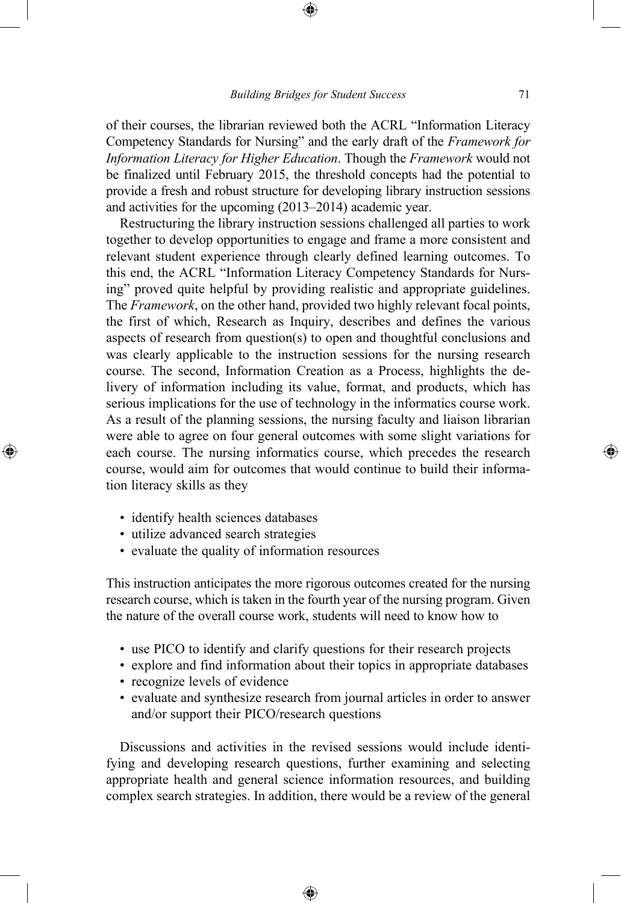of their courses, the librarian reviewed both the ACRL "Information Literacy Competency Standards for Nursing" and the early draft of the *Framework for Information Literacy for Higher Education*. Though the *Framework* would not be finalized until February 2015, the threshold concepts had the potential to provide a fresh and robust structure for developing library instruction sessions and activities for the upcoming (2013–2014) academic year.

Restructuring the library instruction sessions challenged all parties to work together to develop opportunities to engage and frame a more consistent and relevant student experience through clearly defined learning outcomes. To this end, the ACRL "Information Literacy Competency Standards for Nursing" proved quite helpful by providing realistic and appropriate guidelines. The *Framework*, on the other hand, provided two highly relevant focal points, the first of which, Research as Inquiry, describes and defines the various aspects of research from question(s) to open and thoughtful conclusions and was clearly applicable to the instruction sessions for the nursing research course. The second, Information Creation as a Process, highlights the delivery of information including its value, format, and products, which has serious implications for the use of technology in the informatics course work. As a result of the planning sessions, the nursing faculty and liaison librarian were able to agree on four general outcomes with some slight variations for each course. The nursing informatics course, which precedes the research course, would aim for outcomes that would continue to build their information literacy skills as they

• identify health sciences databases

⊕

- utilize advanced search strategies
- evaluate the quality of information resources

This instruction anticipates the more rigorous outcomes created for the nursing research course, which is taken in the fourth year of the nursing program. Given the nature of the overall course work, students will need to know how to

- use PICO to identify and clarify questions for their research projects
- explore and find information about their topics in appropriate databases
- recognize levels of evidence
- evaluate and synthesize research from journal articles in order to answer and/or support their PICO/research questions

Discussions and activities in the revised sessions would include identifying and developing research questions, further examining and selecting appropriate health and general science information resources, and building complex search strategies. In addition, there would be a review of the general

⊕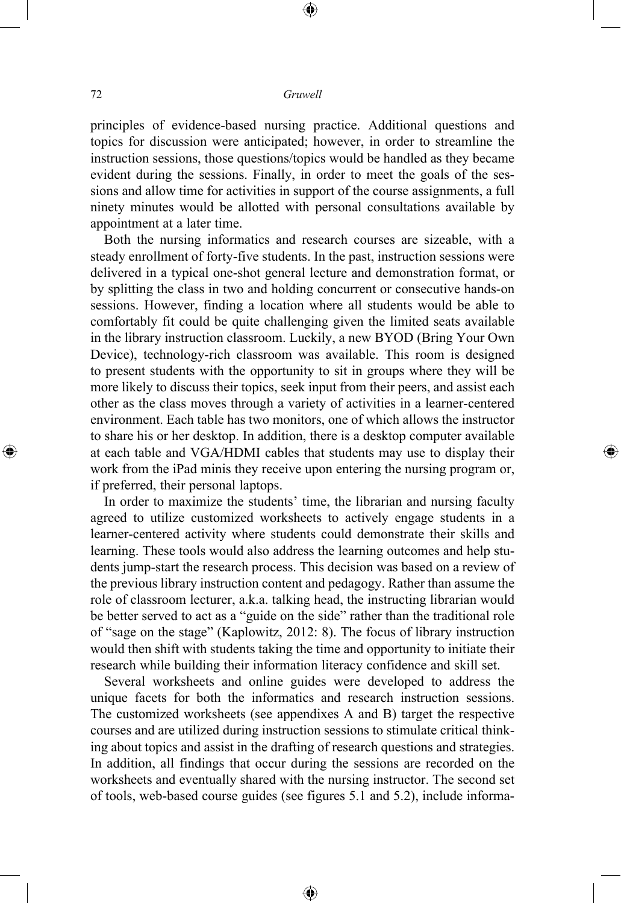⊕

principles of evidence-based nursing practice. Additional questions and topics for discussion were anticipated; however, in order to streamline the instruction sessions, those questions/topics would be handled as they became evident during the sessions. Finally, in order to meet the goals of the sessions and allow time for activities in support of the course assignments, a full ninety minutes would be allotted with personal consultations available by appointment at a later time.

Both the nursing informatics and research courses are sizeable, with a steady enrollment of forty-five students. In the past, instruction sessions were delivered in a typical one-shot general lecture and demonstration format, or by splitting the class in two and holding concurrent or consecutive hands-on sessions. However, finding a location where all students would be able to comfortably fit could be quite challenging given the limited seats available in the library instruction classroom. Luckily, a new BYOD (Bring Your Own Device), technology-rich classroom was available. This room is designed to present students with the opportunity to sit in groups where they will be more likely to discuss their topics, seek input from their peers, and assist each other as the class moves through a variety of activities in a learner-centered environment. Each table has two monitors, one of which allows the instructor to share his or her desktop. In addition, there is a desktop computer available at each table and VGA/HDMI cables that students may use to display their work from the iPad minis they receive upon entering the nursing program or, if preferred, their personal laptops.

⊕

In order to maximize the students' time, the librarian and nursing faculty agreed to utilize customized worksheets to actively engage students in a learner-centered activity where students could demonstrate their skills and learning. These tools would also address the learning outcomes and help students jump-start the research process. This decision was based on a review of the previous library instruction content and pedagogy. Rather than assume the role of classroom lecturer, a.k.a. talking head, the instructing librarian would be better served to act as a "guide on the side" rather than the traditional role of "sage on the stage" (Kaplowitz, 2012: 8). The focus of library instruction would then shift with students taking the time and opportunity to initiate their research while building their information literacy confidence and skill set.

Several worksheets and online guides were developed to address the unique facets for both the informatics and research instruction sessions. The customized worksheets (see appendixes A and B) target the respective courses and are utilized during instruction sessions to stimulate critical thinking about topics and assist in the drafting of research questions and strategies. In addition, all findings that occur during the sessions are recorded on the worksheets and eventually shared with the nursing instructor. The second set of tools, web-based course guides (see figures 5.1 and 5.2), include informa-

⊕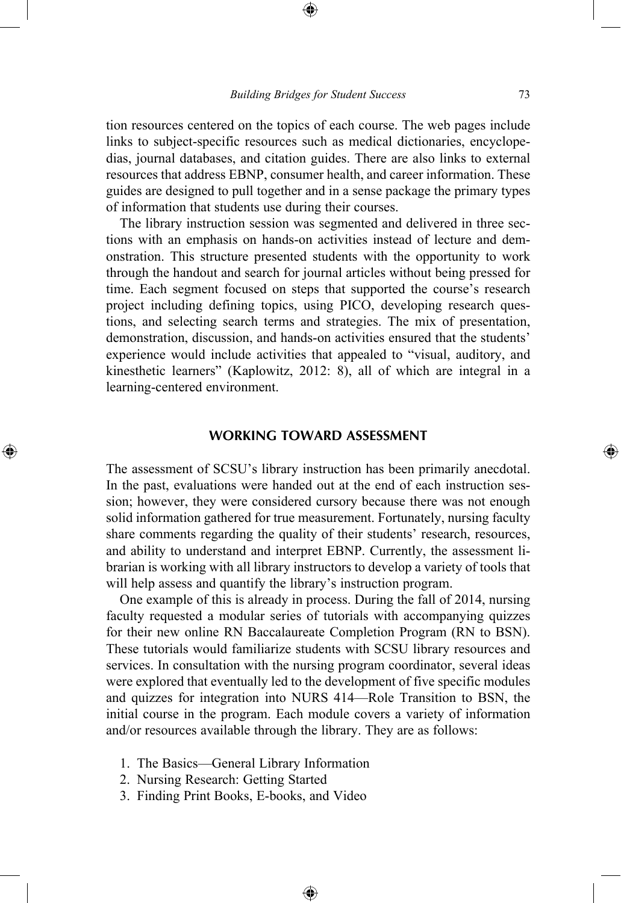tion resources centered on the topics of each course. The web pages include links to subject-specific resources such as medical dictionaries, encyclopedias, journal databases, and citation guides. There are also links to external resources that address EBNP, consumer health, and career information. These guides are designed to pull together and in a sense package the primary types of information that students use during their courses.

The library instruction session was segmented and delivered in three sections with an emphasis on hands-on activities instead of lecture and demonstration. This structure presented students with the opportunity to work through the handout and search for journal articles without being pressed for time. Each segment focused on steps that supported the course's research project including defining topics, using PICO, developing research questions, and selecting search terms and strategies. The mix of presentation, demonstration, discussion, and hands-on activities ensured that the students' experience would include activities that appealed to "visual, auditory, and kinesthetic learners" (Kaplowitz, 2012: 8), all of which are integral in a learning-centered environment.

#### **WORKING TOWARD ASSESSMENT**

The assessment of SCSU's library instruction has been primarily anecdotal. In the past, evaluations were handed out at the end of each instruction session; however, they were considered cursory because there was not enough solid information gathered for true measurement. Fortunately, nursing faculty share comments regarding the quality of their students' research, resources, and ability to understand and interpret EBNP. Currently, the assessment librarian is working with all library instructors to develop a variety of tools that will help assess and quantify the library's instruction program.

One example of this is already in process. During the fall of 2014, nursing faculty requested a modular series of tutorials with accompanying quizzes for their new online RN Baccalaureate Completion Program (RN to BSN). These tutorials would familiarize students with SCSU library resources and services. In consultation with the nursing program coordinator, several ideas were explored that eventually led to the development of five specific modules and quizzes for integration into NURS 414—Role Transition to BSN, the initial course in the program. Each module covers a variety of information and/or resources available through the library. They are as follows:

⊕

- 1. The Basics—General Library Information
- 2. Nursing Research: Getting Started

⊕

3. Finding Print Books, E-books, and Video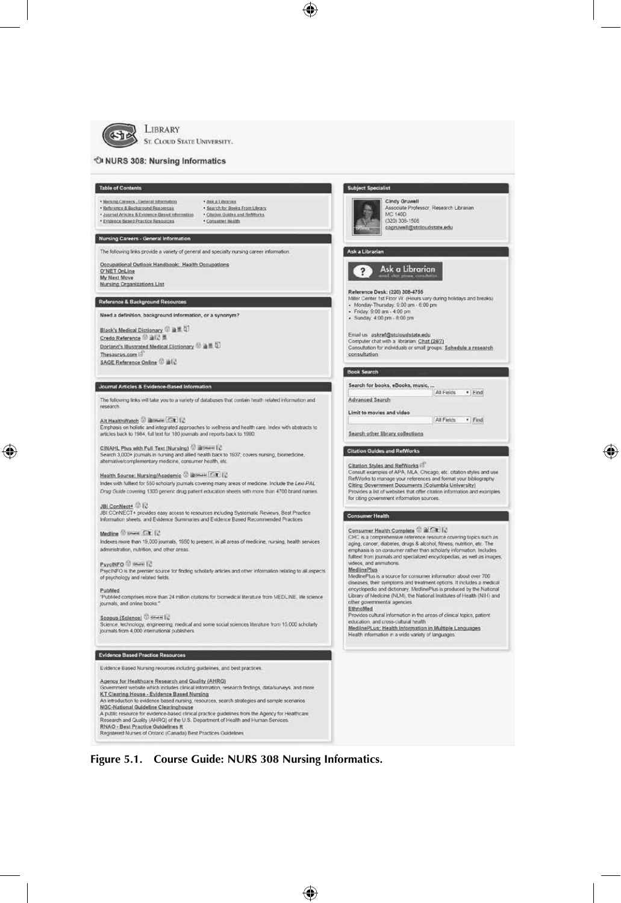

#### LIBRARY ST. CLOUD STATE UNIVERSITY.



⊕

⊕

**Figure 5.1. Course Guide: NURS 308 Nursing Informatics.**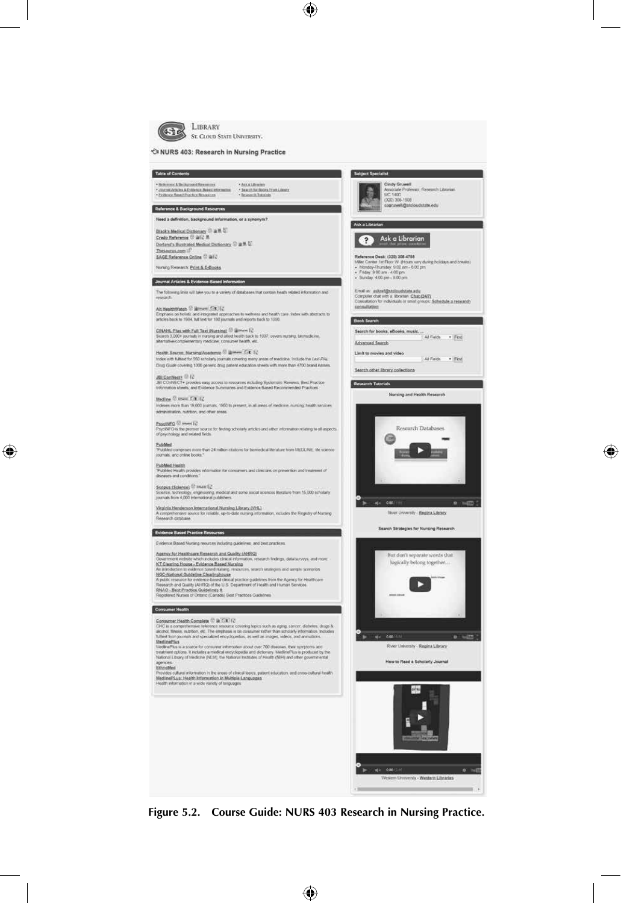

⊕

 $\bigoplus$ 

**Figure 5.2. Course Guide: NURS 403 Research in Nursing Practice.**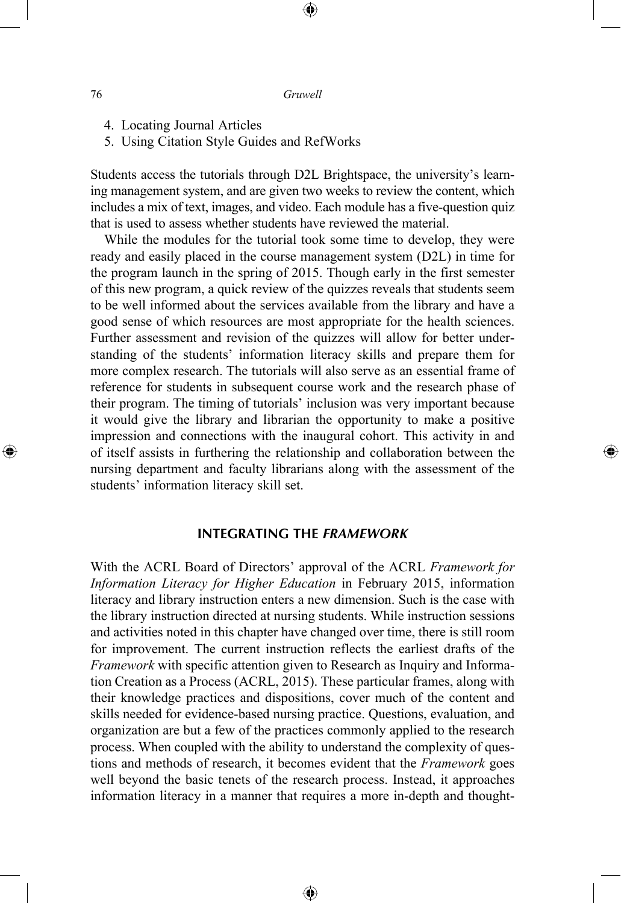⊕

- 4. Locating Journal Articles
- 5. Using Citation Style Guides and RefWorks

Students access the tutorials through D2L Brightspace, the university's learning management system, and are given two weeks to review the content, which includes a mix of text, images, and video. Each module has a five-question quiz that is used to assess whether students have reviewed the material.

While the modules for the tutorial took some time to develop, they were ready and easily placed in the course management system (D2L) in time for the program launch in the spring of 2015. Though early in the first semester of this new program, a quick review of the quizzes reveals that students seem to be well informed about the services available from the library and have a good sense of which resources are most appropriate for the health sciences. Further assessment and revision of the quizzes will allow for better understanding of the students' information literacy skills and prepare them for more complex research. The tutorials will also serve as an essential frame of reference for students in subsequent course work and the research phase of their program. The timing of tutorials' inclusion was very important because it would give the library and librarian the opportunity to make a positive impression and connections with the inaugural cohort. This activity in and of itself assists in furthering the relationship and collaboration between the nursing department and faculty librarians along with the assessment of the students' information literacy skill set.

⊕

## **INTEGRATING THE** *FRAMEWORK*

With the ACRL Board of Directors' approval of the ACRL *Framework for Information Literacy for Higher Education* in February 2015, information literacy and library instruction enters a new dimension. Such is the case with the library instruction directed at nursing students. While instruction sessions and activities noted in this chapter have changed over time, there is still room for improvement. The current instruction reflects the earliest drafts of the *Framework* with specific attention given to Research as Inquiry and Information Creation as a Process (ACRL, 2015). These particular frames, along with their knowledge practices and dispositions, cover much of the content and skills needed for evidence-based nursing practice. Questions, evaluation, and organization are but a few of the practices commonly applied to the research process. When coupled with the ability to understand the complexity of questions and methods of research, it becomes evident that the *Framework* goes well beyond the basic tenets of the research process. Instead, it approaches information literacy in a manner that requires a more in-depth and thought-

⊕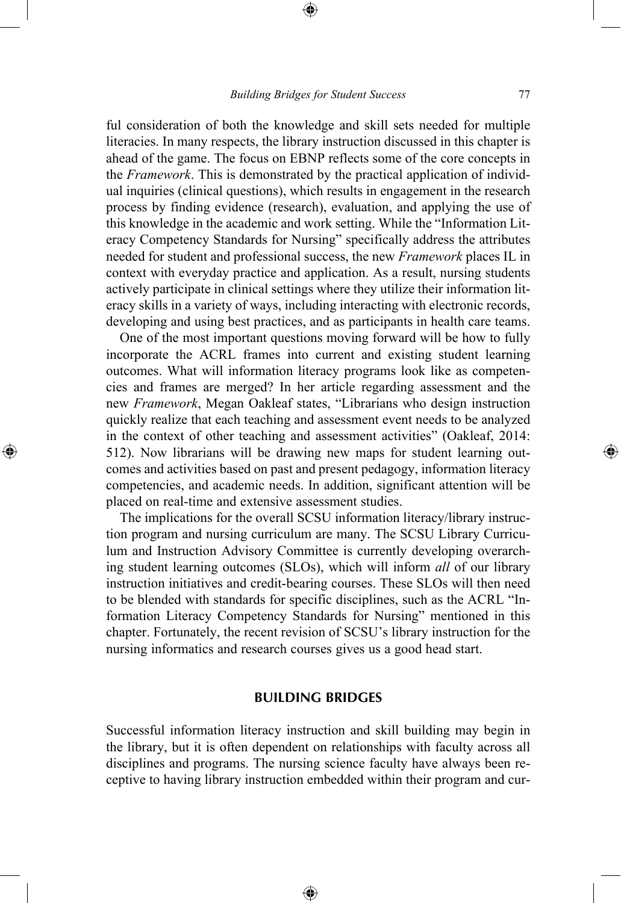ful consideration of both the knowledge and skill sets needed for multiple literacies. In many respects, the library instruction discussed in this chapter is ahead of the game. The focus on EBNP reflects some of the core concepts in the *Framework*. This is demonstrated by the practical application of individual inquiries (clinical questions), which results in engagement in the research process by finding evidence (research), evaluation, and applying the use of this knowledge in the academic and work setting. While the "Information Literacy Competency Standards for Nursing" specifically address the attributes needed for student and professional success, the new *Framework* places IL in context with everyday practice and application. As a result, nursing students actively participate in clinical settings where they utilize their information literacy skills in a variety of ways, including interacting with electronic records, developing and using best practices, and as participants in health care teams.

One of the most important questions moving forward will be how to fully incorporate the ACRL frames into current and existing student learning outcomes. What will information literacy programs look like as competencies and frames are merged? In her article regarding assessment and the new *Framework*, Megan Oakleaf states, "Librarians who design instruction quickly realize that each teaching and assessment event needs to be analyzed in the context of other teaching and assessment activities" (Oakleaf, 2014: 512). Now librarians will be drawing new maps for student learning outcomes and activities based on past and present pedagogy, information literacy competencies, and academic needs. In addition, significant attention will be placed on real-time and extensive assessment studies.

⊕

The implications for the overall SCSU information literacy/library instruction program and nursing curriculum are many. The SCSU Library Curriculum and Instruction Advisory Committee is currently developing overarching student learning outcomes (SLOs), which will inform *all* of our library instruction initiatives and credit-bearing courses. These SLOs will then need to be blended with standards for specific disciplines, such as the ACRL "Information Literacy Competency Standards for Nursing" mentioned in this chapter. Fortunately, the recent revision of SCSU's library instruction for the nursing informatics and research courses gives us a good head start.

#### **BUILDING BRIDGES**

Successful information literacy instruction and skill building may begin in the library, but it is often dependent on relationships with faculty across all disciplines and programs. The nursing science faculty have always been receptive to having library instruction embedded within their program and cur-

⊕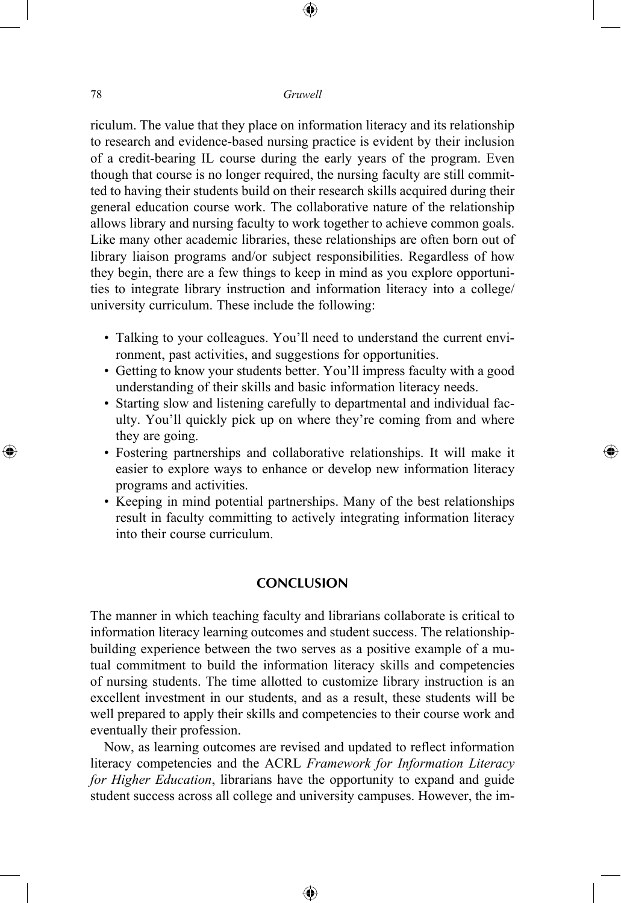⊕

riculum. The value that they place on information literacy and its relationship to research and evidence-based nursing practice is evident by their inclusion of a credit-bearing IL course during the early years of the program. Even though that course is no longer required, the nursing faculty are still committed to having their students build on their research skills acquired during their general education course work. The collaborative nature of the relationship allows library and nursing faculty to work together to achieve common goals. Like many other academic libraries, these relationships are often born out of library liaison programs and/or subject responsibilities. Regardless of how they begin, there are a few things to keep in mind as you explore opportunities to integrate library instruction and information literacy into a college/ university curriculum. These include the following:

- Talking to your colleagues. You'll need to understand the current environment, past activities, and suggestions for opportunities.
- Getting to know your students better. You'll impress faculty with a good understanding of their skills and basic information literacy needs.
- Starting slow and listening carefully to departmental and individual faculty. You'll quickly pick up on where they're coming from and where they are going.
- Fostering partnerships and collaborative relationships. It will make it easier to explore ways to enhance or develop new information literacy programs and activities.

⊕

• Keeping in mind potential partnerships. Many of the best relationships result in faculty committing to actively integrating information literacy into their course curriculum.

## **CONCLUSION**

The manner in which teaching faculty and librarians collaborate is critical to information literacy learning outcomes and student success. The relationshipbuilding experience between the two serves as a positive example of a mutual commitment to build the information literacy skills and competencies of nursing students. The time allotted to customize library instruction is an excellent investment in our students, and as a result, these students will be well prepared to apply their skills and competencies to their course work and eventually their profession.

Now, as learning outcomes are revised and updated to reflect information literacy competencies and the ACRL *Framework for Information Literacy for Higher Education*, librarians have the opportunity to expand and guide student success across all college and university campuses. However, the im-

⊕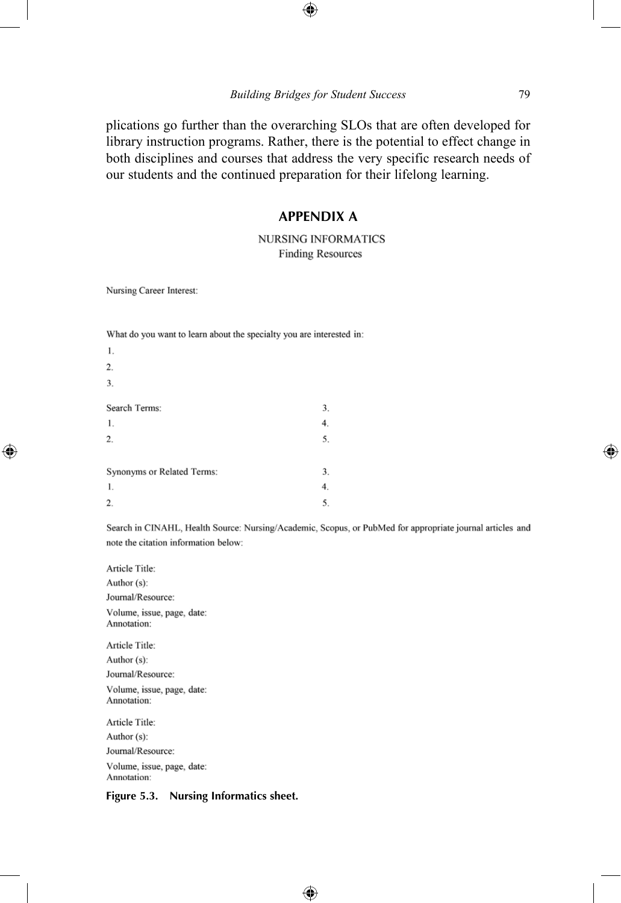#### *Building Bridges for Student Success* 79

⊕

plications go further than the overarching SLOs that are often developed for library instruction programs. Rather, there is the potential to effect change in both disciplines and courses that address the very specific research needs of our students and the continued preparation for their lifelong learning.

#### **APPENDIX A**

#### **NURSING INFORMATICS Finding Resources**

Nursing Career Interest:

⊕

| 1.                         |    |
|----------------------------|----|
| 2.                         |    |
| 3.                         |    |
|                            |    |
| Search Terms:              | 3. |
| 1.                         | 4. |
| 2.                         | 5. |
|                            |    |
| Synonyms or Related Terms: | 3. |
| 1.                         | 4. |
| 2.                         | 5. |
|                            |    |

What do you want to learn about the specialty you are interested in:

Search in CINAHL, Health Source: Nursing/Academic, Scopus, or PubMed for appropriate journal articles and note the citation information below:

⊕

Article Title: Author (s): Journal/Resource: Volume, issue, page, date: Annotation: Article Title: Author (s): Journal/Resource: Volume, issue, page, date: Annotation: Article Title: Author (s): Journal/Resource:

Volume, issue, page, date: Annotation:

#### **Figure 5.3. Nursing Informatics sheet.**

↔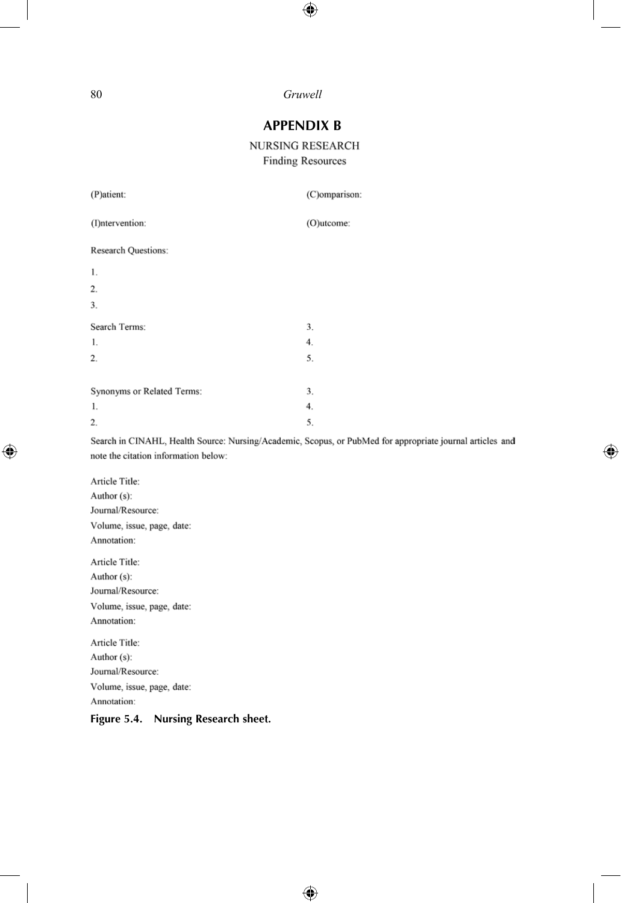$\bigoplus$ 

## **APPENDIX B**

NURSING RESEARCH **Finding Resources** 

| (P)atient:                             | (C)omparison:                                                                                             |
|----------------------------------------|-----------------------------------------------------------------------------------------------------------|
| (I)ntervention:                        | (O)utcome:                                                                                                |
| <b>Research Questions:</b>             |                                                                                                           |
| 1.                                     |                                                                                                           |
| 2.                                     |                                                                                                           |
| 3.                                     |                                                                                                           |
| Search Terms:                          | 3.                                                                                                        |
| 1.                                     | 4.                                                                                                        |
| 2.                                     | 5.                                                                                                        |
|                                        |                                                                                                           |
| Synonyms or Related Terms:             | 3.                                                                                                        |
| 1.                                     | 4.                                                                                                        |
| 2.                                     | 5.                                                                                                        |
| note the citation information below:   | Search in CINAHL, Health Source: Nursing/Academic, Scopus, or PubMed for appropriate journal articles and |
| Article Title:                         |                                                                                                           |
| Author (s):                            |                                                                                                           |
| Journal/Resource:                      |                                                                                                           |
| Volume, issue, page, date:             |                                                                                                           |
| Annotation:                            |                                                                                                           |
| Article Title:                         |                                                                                                           |
| Author (s):                            |                                                                                                           |
| Journal/Resource:                      |                                                                                                           |
| Volume, issue, page, date:             |                                                                                                           |
| Annotation:                            |                                                                                                           |
| Article Title:                         |                                                                                                           |
| Author (s):                            |                                                                                                           |
| Journal/Resource:                      |                                                                                                           |
| Volume, issue, page, date:             |                                                                                                           |
| Annotation:                            |                                                                                                           |
| Nursing Research sheet.<br>Figure 5.4. |                                                                                                           |

 $\bigoplus$ 

 $\bigoplus$ 

 $\overline{\phantom{a}}$ 

 $\bigoplus$